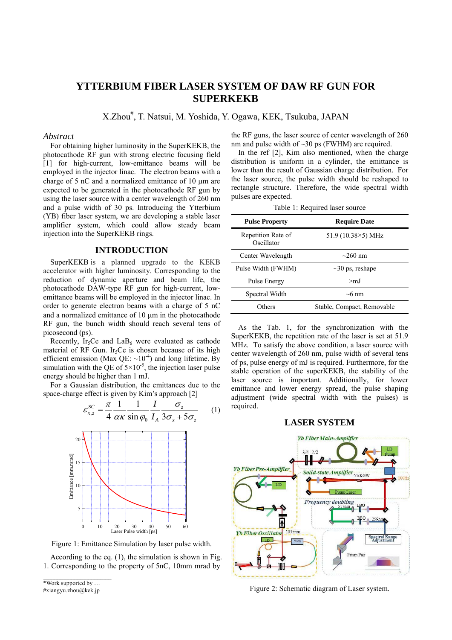# **YTTERBIUM FIBER LASER SYSTEM OF DAW RF GUN FOR SUPERKEKB**

X.Zhou# , T. Natsui, M. Yoshida, Y. Ogawa, KEK, Tsukuba, JAPAN

### *Abstract*

For obtaining higher luminosity in the SuperKEKB, the photocathode RF gun with strong electric focusing field [1] for high-current, low-emittance beams will be employed in the injector linac. The electron beams with a charge of 5 nC and a normalized emittance of 10 um are expected to be generated in the photocathode RF gun by using the laser source with a center wavelength of 260 nm and a pulse width of 30 ps. Introducing the Ytterbium (YB) fiber laser system, we are developing a stable laser amplifier system, which could allow steady beam injection into the SuperKEKB rings.

#### **INTRODUCTION**

SuperKEKB is a planned upgrade to the KEKB accelerator with higher luminosity. Corresponding to the reduction of dynamic aperture and beam life, the photocathode DAW-type RF gun for high-current, lowemittance beams will be employed in the injector linac. In order to generate electron beams with a charge of 5 nC and a normalized emittance of 10 um in the photocathode RF gun, the bunch width should reach several tens of picosecond (ps).

Recently, Ir<sub>5</sub>Ce and  $LaB<sub>6</sub>$  were evaluated as cathode material of RF Gun. Ir<sub>5</sub>Ce is chosen because of its high efficient emission (Max QE:  $\sim 10^{-4}$ ) and long lifetime. By simulation with the QE of  $5 \times 10^{-5}$ , the injection laser pulse energy should be higher than 1 mJ.

For a Gaussian distribution, the emittances due to the space-charge effect is given by Kim's approach [2]

$$
\varepsilon_{x,z}^{SC} = \frac{\pi}{4} \frac{1}{\alpha \kappa} \frac{1}{\sin \varphi_0} \frac{I}{I_A} \frac{\sigma_z}{3\sigma_x + 5\sigma_z} \qquad (1)
$$



Figure 1: Emittance Simulation by laser pulse width.

According to the eq. (1), the simulation is shown in Fig. 1. Corresponding to the property of 5nC, 10mm mrad by

\*Work supported by ... #xiangyu.zhou@kek.jp

the RF guns, the laser source of center wavelength of 260 nm and pulse width of  $\sim$ 30 ps (FWHM) are required.

In the ref [2], Kim also mentioned, when the charge distribution is uniform in a cylinder, the emittance is lower than the result of Gaussian charge distribution. For the laser source, the pulse width should be reshaped to rectangle structure. Therefore, the wide spectral width pulses are expected.

Table 1: Required laser source

| <b>Pulse Property</b>            | <b>Require Date</b>        |
|----------------------------------|----------------------------|
| Repetition Rate of<br>Oscillator | 51.9 $(10.38\times5)$ MHz  |
| Center Wavelength                | $\sim$ 260 nm              |
| Pulse Width (FWHM)               | $\sim$ 30 ps, reshape      |
| Pulse Energy                     | $>$ mJ                     |
| Spectral Width                   | $\sim$ 6 nm                |
| Others                           | Stable, Compact, Removable |

As the Tab. 1, for the synchronization with the SuperKEKB, the repetition rate of the laser is set at 51.9 MHz. To satisfy the above condition, a laser source with center wavelength of 260 nm, pulse width of several tens of ps, pulse energy of mJ is required. Furthermore, for the stable operation of the superKEKB, the stability of the laser source is important. Additionally, for lower emittance and lower energy spread, the pulse shaping adjustment (wide spectral width with the pulses) is required.

## **LASER SYSTEM**



Figure 2: Schematic diagram of Laser system.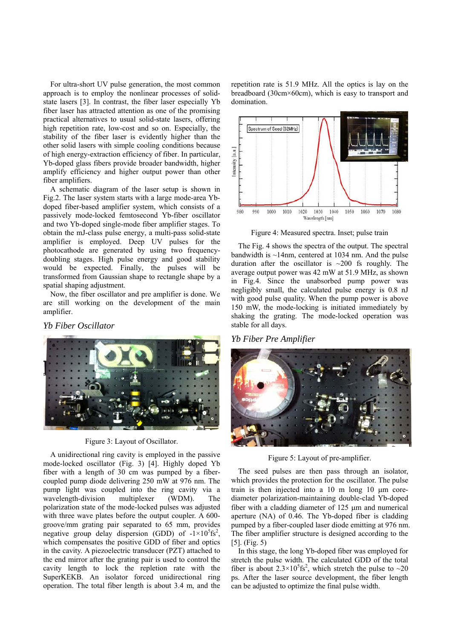For ultra-short UV pulse generation, the most common approach is to employ the nonlinear processes of solidstate lasers [3]. In contrast, the fiber laser especially Yb fiber laser has attracted attention as one of the promising practical alternatives to usual solid-state lasers, offering high repetition rate, low-cost and so on. Especially, the stability of the fiber laser is evidently higher than the other solid lasers with simple cooling conditions because of high energy-extraction efficiency of fiber. In particular, Yb-doped glass fibers provide broader bandwidth, higher amplify efficiency and higher output power than other fiber amplifiers.

A schematic diagram of the laser setup is shown in Fig.2. The laser system starts with a large mode-area Ybdoped fiber-based amplifier system, which consists of a passively mode-locked femtosecond Yb-fiber oscillator and two Yb-doped single-mode fiber amplifier stages. To obtain the mJ-class pulse energy, a multi-pass solid-state amplifier is employed. Deep UV pulses for the photocathode are generated by using two frequencydoubling stages. High pulse energy and good stability would be expected. Finally, the pulses will be transformed from Gaussian shape to rectangle shape by a spatial shaping adjustment.

Now, the fiber oscillator and pre amplifier is done. We are still working on the development of the main amplifier.

## *Yb Fiber Oscillator*



Figure 3: Layout of Oscillator.

A unidirectional ring cavity is employed in the passive mode-locked oscillator (Fig. 3) [4]. Highly doped Yb fiber with a length of 30 cm was pumped by a fibercoupled pump diode delivering 250 mW at 976 nm. The pump light was coupled into the ring cavity via a wavelength-division multiplexer (WDM). The polarization state of the mode-locked pulses was adjusted with three wave plates before the output coupler. A 600 groove/mm grating pair separated to 65 mm, provides negative group delay dispersion (GDD) of  $-1 \times 10^5$ fs<sup>2</sup>, which compensates the positive GDD of fiber and optics in the cavity. A piezoelectric transducer (PZT) attached to the end mirror after the grating pair is used to control the cavity length to lock the repletion rate with the SuperKEKB. An isolator forced unidirectional ring operation. The total fiber length is about 3.4 m, and the

repetition rate is 51.9 MHz. All the optics is lay on the breadboard (30cm×60cm), which is easy to transport and domination.



Figure 4: Measured spectra. Inset; pulse train

The Fig. 4 shows the spectra of the output. The spectral bandwidth is  $\sim$ 14nm, centered at 1034 nm. And the pulse duration after the oscillator is  $\sim$ 200 fs roughly. The average output power was 42 mW at 51.9 MHz, as shown in Fig.4. Since the unabsorbed pump power was negligibly small, the calculated pulse energy is 0.8 nJ with good pulse quality. When the pump power is above 150 mW, the mode-locking is initiated immediately by shaking the grating. The mode-locked operation was stable for all days.

## *Yb Fiber Pre Amplifier*



Figure 5: Layout of pre-amplifier.

The seed pulses are then pass through an isolator, which provides the protection for the oscillator. The pulse train is then injected into a  $10 \text{ m}$  long  $10 \text{ }\mu\text{m}$  corediameter polarization-maintaining double-clad Yb-doped fiber with a cladding diameter of  $125 \mu m$  and numerical aperture (NA) of 0.46. The Yb-doped fiber is cladding pumped by a fiber-coupled laser diode emitting at 976 nm. The fiber amplifier structure is designed according to the [5]. (Fig. 5)

In this stage, the long Yb-doped fiber was employed for stretch the pulse width. The calculated GDD of the total fiber is about  $2.3 \times 10^5$ fs<sup>2</sup>, which stretch the pulse to  $\sim 20$ ps. After the laser source development, the fiber length can be adjusted to optimize the final pulse width.